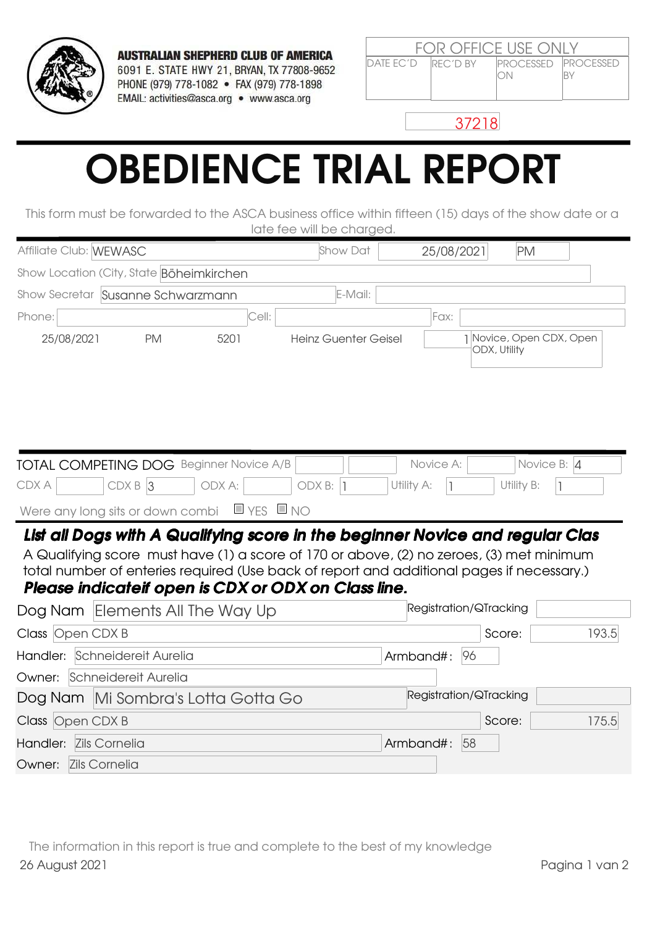

**AUSTRALIAN SHEPHERD CLUB OF AMERICA** 6091 E. STATE HWY 21, BRYAN, TX 77808-9652 PHONE (979) 778-1082 · FAX (979) 778-1898 EMAIL: activities@asca.org • www.asca.org

| <b>FOR OFFICE USE ONLY</b>                                                 |  |                                    |  |  |  |  |
|----------------------------------------------------------------------------|--|------------------------------------|--|--|--|--|
| $\overline{D}$ ATF FC' $\overline{D}$ $\overline{R}$ FC' $\overline{D}$ BY |  | <b>IPROCESSED IPROCESSED</b><br>ON |  |  |  |  |

37218

## OBEDIENCE TRIAL REPORT

This form must be forwarded to the ASCA business office within fifteen (15) days of the show date or a late fee will be charged.

| Affiliate Club: WEWASC        |                                                                                                                                                                                                                                                                                                                               |           | Show Dat                    | 25/08/2021             | <b>PM</b>                              |       |
|-------------------------------|-------------------------------------------------------------------------------------------------------------------------------------------------------------------------------------------------------------------------------------------------------------------------------------------------------------------------------|-----------|-----------------------------|------------------------|----------------------------------------|-------|
|                               | Show Location (City, State Böheimkirchen                                                                                                                                                                                                                                                                                      |           |                             |                        |                                        |       |
|                               | Show Secretar Susanne Schwarzmann                                                                                                                                                                                                                                                                                             |           | E-Mail:                     |                        |                                        |       |
| Phone:                        |                                                                                                                                                                                                                                                                                                                               | Cell:     |                             | Fax:                   |                                        |       |
| 25/08/2021                    | 5201<br><b>PM</b>                                                                                                                                                                                                                                                                                                             |           | <b>Heinz Guenter Geisel</b> | ODX, Utility           | 1 Novice, Open CDX, Open               |       |
|                               | TOTAL COMPETING DOG Beginner Novice A/B                                                                                                                                                                                                                                                                                       |           |                             | Novice A:              | Novice B: 4                            |       |
| CDX A                         | $CDX B$ 3<br>ODX A:                                                                                                                                                                                                                                                                                                           | ODX B:  1 | Utility A:                  |                        | Utility B:<br>$\overline{\phantom{a}}$ |       |
|                               | Were any long sits or down combi $\Box$ YES $\Box$ NO                                                                                                                                                                                                                                                                         |           |                             |                        |                                        |       |
|                               | List all Dogs with A Qualifying score in the beginner Novice and regular Clas<br>A Qualifying score must have (1) a score of 170 or above, (2) no zeroes, (3) met minimum<br>total number of enteries required (Use back of report and additional pages if necessary.)<br>Please indicateif open is CDX or ODX on Class line. |           |                             |                        |                                        |       |
|                               | Dog Nam Elements All The Way Up                                                                                                                                                                                                                                                                                               |           |                             | Registration/QTracking |                                        |       |
| Class Open CDX B              |                                                                                                                                                                                                                                                                                                                               |           |                             |                        | Score:                                 | 193.5 |
| Handler: Schneidereit Aurelia |                                                                                                                                                                                                                                                                                                                               |           |                             | Armband#:<br>96        |                                        |       |
| Owner: Schneidereit Aurelia   |                                                                                                                                                                                                                                                                                                                               |           |                             |                        |                                        |       |
|                               | Dog Nam Mi Sombra's Lotta Gotta Go                                                                                                                                                                                                                                                                                            |           |                             | Registration/QTracking |                                        |       |
| Class Open CDX B              |                                                                                                                                                                                                                                                                                                                               |           |                             |                        | Score:                                 | 175.5 |
| Handler: Zils Cornelia        |                                                                                                                                                                                                                                                                                                                               |           |                             | 58<br>Armband#:        |                                        |       |
| Owner: Zils Cornelia          |                                                                                                                                                                                                                                                                                                                               |           |                             |                        |                                        |       |